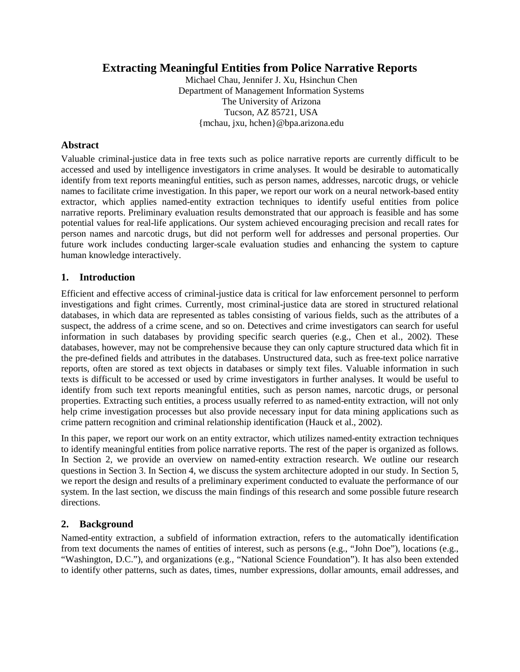# **Extracting Meaningful Entities from Police Narrative Reports**

Michael Chau, Jennifer J. Xu, Hsinchun Chen Department of Management Information Systems The University of Arizona Tucson, AZ 85721, USA {mchau, jxu, hchen}@bpa.arizona.edu

### **Abstract**

Valuable criminal-justice data in free texts such as police narrative reports are currently difficult to be accessed and used by intelligence investigators in crime analyses. It would be desirable to automatically identify from text reports meaningful entities, such as person names, addresses, narcotic drugs, or vehicle names to facilitate crime investigation. In this paper, we report our work on a neural network-based entity extractor, which applies named-entity extraction techniques to identify useful entities from police narrative reports. Preliminary evaluation results demonstrated that our approach is feasible and has some potential values for real-life applications. Our system achieved encouraging precision and recall rates for person names and narcotic drugs, but did not perform well for addresses and personal properties. Our future work includes conducting larger-scale evaluation studies and enhancing the system to capture human knowledge interactively.

### **1. Introduction**

Efficient and effective access of criminal-justice data is critical for law enforcement personnel to perform investigations and fight crimes. Currently, most criminal-justice data are stored in structured relational databases, in which data are represented as tables consisting of various fields, such as the attributes of a suspect, the address of a crime scene, and so on. Detectives and crime investigators can search for useful information in such databases by providing specific search queries (e.g., Chen et al., 2002). These databases, however, may not be comprehensive because they can only capture structured data which fit in the pre-defined fields and attributes in the databases. Unstructured data, such as free-text police narrative reports, often are stored as text objects in databases or simply text files. Valuable information in such texts is difficult to be accessed or used by crime investigators in further analyses. It would be useful to identify from such text reports meaningful entities, such as person names, narcotic drugs, or personal properties. Extracting such entities, a process usually referred to as named-entity extraction, will not only help crime investigation processes but also provide necessary input for data mining applications such as crime pattern recognition and criminal relationship identification (Hauck et al., 2002).

In this paper, we report our work on an entity extractor, which utilizes named-entity extraction techniques to identify meaningful entities from police narrative reports. The rest of the paper is organized as follows. In Section 2, we provide an overview on named-entity extraction research. We outline our research questions in Section 3. In Section 4, we discuss the system architecture adopted in our study. In Section 5, we report the design and results of a preliminary experiment conducted to evaluate the performance of our system. In the last section, we discuss the main findings of this research and some possible future research directions.

#### **2. Background**

Named-entity extraction, a subfield of information extraction, refers to the automatically identification from text documents the names of entities of interest, such as persons (e.g., "John Doe"), locations (e.g., "Washington, D.C."), and organizations (e.g., "National Science Foundation"). It has also been extended to identify other patterns, such as dates, times, number expressions, dollar amounts, email addresses, and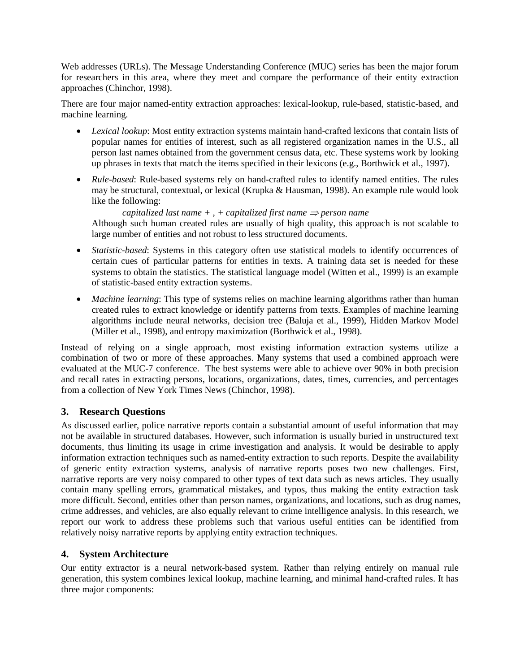Web addresses (URLs). The Message Understanding Conference (MUC) series has been the major forum for researchers in this area, where they meet and compare the performance of their entity extraction approaches (Chinchor, 1998).

There are four major named-entity extraction approaches: lexical-lookup, rule-based, statistic-based, and machine learning.

- *Lexical lookup*: Most entity extraction systems maintain hand-crafted lexicons that contain lists of popular names for entities of interest, such as all registered organization names in the U.S., all person last names obtained from the government census data, etc. These systems work by looking up phrases in texts that match the items specified in their lexicons (e.g., Borthwick et al., 1997).
- *Rule-based*: Rule-based systems rely on hand-crafted rules to identify named entities. The rules may be structural, contextual, or lexical (Krupka & Hausman, 1998). An example rule would look like the following:

*capitalized last name* +, + *capitalized first name*  $\Rightarrow$  *person name* Although such human created rules are usually of high quality, this approach is not scalable to large number of entities and not robust to less structured documents.

- *Statistic-based*: Systems in this category often use statistical models to identify occurrences of certain cues of particular patterns for entities in texts. A training data set is needed for these systems to obtain the statistics. The statistical language model (Witten et al., 1999) is an example of statistic-based entity extraction systems.
- *Machine learning*: This type of systems relies on machine learning algorithms rather than human created rules to extract knowledge or identify patterns from texts. Examples of machine learning algorithms include neural networks, decision tree (Baluja et al., 1999), Hidden Markov Model (Miller et al., 1998), and entropy maximization (Borthwick et al., 1998).

Instead of relying on a single approach, most existing information extraction systems utilize a combination of two or more of these approaches. Many systems that used a combined approach were evaluated at the MUC-7 conference. The best systems were able to achieve over 90% in both precision and recall rates in extracting persons, locations, organizations, dates, times, currencies, and percentages from a collection of New York Times News (Chinchor, 1998).

## **3. Research Questions**

As discussed earlier, police narrative reports contain a substantial amount of useful information that may not be available in structured databases. However, such information is usually buried in unstructured text documents, thus limiting its usage in crime investigation and analysis. It would be desirable to apply information extraction techniques such as named-entity extraction to such reports. Despite the availability of generic entity extraction systems, analysis of narrative reports poses two new challenges. First, narrative reports are very noisy compared to other types of text data such as news articles. They usually contain many spelling errors, grammatical mistakes, and typos, thus making the entity extraction task more difficult. Second, entities other than person names, organizations, and locations, such as drug names, crime addresses, and vehicles, are also equally relevant to crime intelligence analysis. In this research, we report our work to address these problems such that various useful entities can be identified from relatively noisy narrative reports by applying entity extraction techniques.

## **4. System Architecture**

Our entity extractor is a neural network-based system. Rather than relying entirely on manual rule generation, this system combines lexical lookup, machine learning, and minimal hand-crafted rules. It has three major components: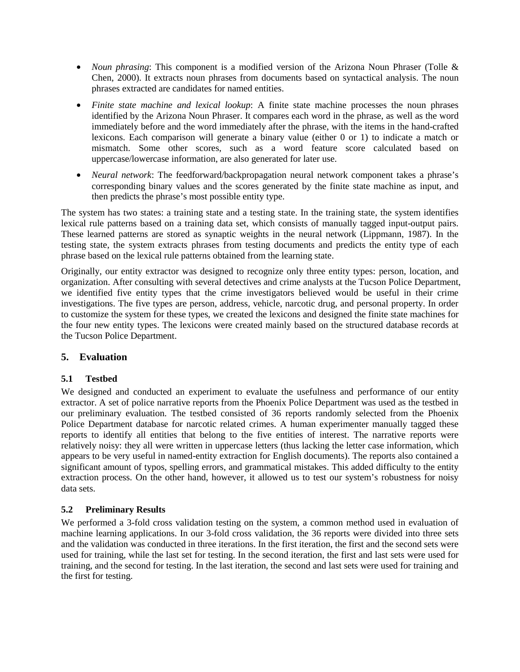- *Noun phrasing*: This component is a modified version of the Arizona Noun Phraser (Tolle & Chen, 2000). It extracts noun phrases from documents based on syntactical analysis. The noun phrases extracted are candidates for named entities.
- *Finite state machine and lexical lookup*: A finite state machine processes the noun phrases identified by the Arizona Noun Phraser. It compares each word in the phrase, as well as the word immediately before and the word immediately after the phrase, with the items in the hand-crafted lexicons. Each comparison will generate a binary value (either 0 or 1) to indicate a match or mismatch. Some other scores, such as a word feature score calculated based on uppercase/lowercase information, are also generated for later use.
- *Neural network*: The feedforward/backpropagation neural network component takes a phrase's corresponding binary values and the scores generated by the finite state machine as input, and then predicts the phrase's most possible entity type.

The system has two states: a training state and a testing state. In the training state, the system identifies lexical rule patterns based on a training data set, which consists of manually tagged input-output pairs. These learned patterns are stored as synaptic weights in the neural network (Lippmann, 1987). In the testing state, the system extracts phrases from testing documents and predicts the entity type of each phrase based on the lexical rule patterns obtained from the learning state.

Originally, our entity extractor was designed to recognize only three entity types: person, location, and organization. After consulting with several detectives and crime analysts at the Tucson Police Department, we identified five entity types that the crime investigators believed would be useful in their crime investigations. The five types are person, address, vehicle, narcotic drug, and personal property. In order to customize the system for these types, we created the lexicons and designed the finite state machines for the four new entity types. The lexicons were created mainly based on the structured database records at the Tucson Police Department.

# **5. Evaluation**

## **5.1 Testbed**

We designed and conducted an experiment to evaluate the usefulness and performance of our entity extractor. A set of police narrative reports from the Phoenix Police Department was used as the testbed in our preliminary evaluation. The testbed consisted of 36 reports randomly selected from the Phoenix Police Department database for narcotic related crimes. A human experimenter manually tagged these reports to identify all entities that belong to the five entities of interest. The narrative reports were relatively noisy: they all were written in uppercase letters (thus lacking the letter case information, which appears to be very useful in named-entity extraction for English documents). The reports also contained a significant amount of typos, spelling errors, and grammatical mistakes. This added difficulty to the entity extraction process. On the other hand, however, it allowed us to test our system's robustness for noisy data sets.

## **5.2 Preliminary Results**

We performed a 3-fold cross validation testing on the system, a common method used in evaluation of machine learning applications. In our 3-fold cross validation, the 36 reports were divided into three sets and the validation was conducted in three iterations. In the first iteration, the first and the second sets were used for training, while the last set for testing. In the second iteration, the first and last sets were used for training, and the second for testing. In the last iteration, the second and last sets were used for training and the first for testing.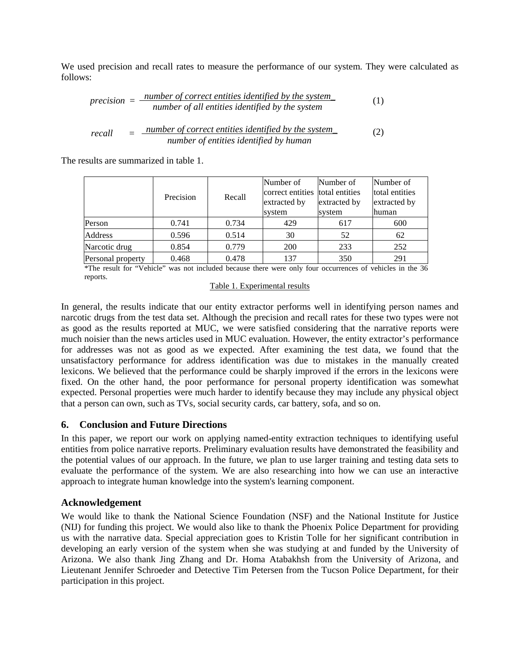We used precision and recall rates to measure the performance of our system. They were calculated as follows:

$$
precision = \frac{number\ of\ correct\ entities\ identified\ by\ the\ system}{number\ of\ all\ entities\ identified\ by\ the\ system} \tag{1}
$$

$$
recall = \frac{number\ of\ correct\ entities\ identified\ by\ the\ system}{number\ of\ entities\ identified\ by\ human}
$$
 (2)

The results are summarized in table 1.

|                   | Precision | Recall | Number of<br>correct entities<br>extracted by<br>system | Number of<br>total entities<br>extracted by<br>system | Number of<br>total entities<br>extracted by<br>human |
|-------------------|-----------|--------|---------------------------------------------------------|-------------------------------------------------------|------------------------------------------------------|
| Person            | 0.741     | 0.734  | 429                                                     | 617                                                   | 600                                                  |
| Address           | 0.596     | 0.514  | 30                                                      | 52                                                    | 62                                                   |
| Narcotic drug     | 0.854     | 0.779  | 200                                                     | 233                                                   | 252                                                  |
| Personal property | 0.468     | 0.478  | 137                                                     | 350                                                   | 291                                                  |

\*The result for "Vehicle" was not included because there were only four occurrences of vehicles in the 36 reports.

Table 1. Experimental results

In general, the results indicate that our entity extractor performs well in identifying person names and narcotic drugs from the test data set. Although the precision and recall rates for these two types were not as good as the results reported at MUC, we were satisfied considering that the narrative reports were much noisier than the news articles used in MUC evaluation. However, the entity extractor's performance for addresses was not as good as we expected. After examining the test data, we found that the unsatisfactory performance for address identification was due to mistakes in the manually created lexicons. We believed that the performance could be sharply improved if the errors in the lexicons were fixed. On the other hand, the poor performance for personal property identification was somewhat expected. Personal properties were much harder to identify because they may include any physical object that a person can own, such as TVs, social security cards, car battery, sofa, and so on.

## **6. Conclusion and Future Directions**

In this paper, we report our work on applying named-entity extraction techniques to identifying useful entities from police narrative reports. Preliminary evaluation results have demonstrated the feasibility and the potential values of our approach. In the future, we plan to use larger training and testing data sets to evaluate the performance of the system. We are also researching into how we can use an interactive approach to integrate human knowledge into the system's learning component.

## **Acknowledgement**

We would like to thank the National Science Foundation (NSF) and the National Institute for Justice (NIJ) for funding this project. We would also like to thank the Phoenix Police Department for providing us with the narrative data. Special appreciation goes to Kristin Tolle for her significant contribution in developing an early version of the system when she was studying at and funded by the University of Arizona. We also thank Jing Zhang and Dr. Homa Atabakhsh from the University of Arizona, and Lieutenant Jennifer Schroeder and Detective Tim Petersen from the Tucson Police Department, for their participation in this project.